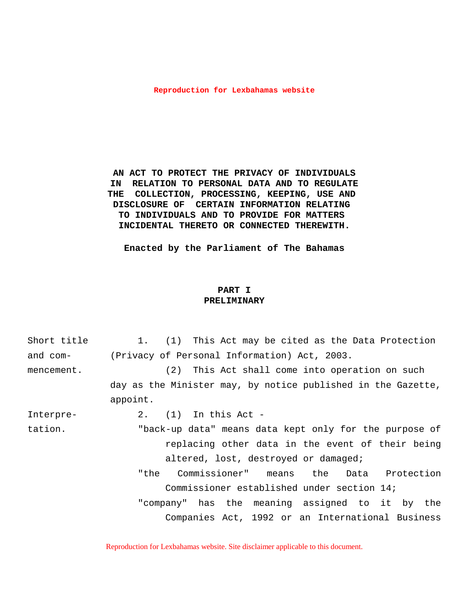#### **Reproduction for Lexbahamas website**

**AN ACT TO PROTECT THE PRIVACY OF INDIVIDUALS IN RELATION TO PERSONAL DATA AND TO REGULATE THE COLLECTION, PROCESSING, KEEPING, USE AND DISCLOSURE OF CERTAIN INFORMATION RELATING TO INDIVIDUALS AND TO PROVIDE FOR MATTERS INCIDENTAL THERETO OR CONNECTED THEREWITH.**

**Enacted by the Parliament of The Bahamas**

# **PART I PRELIMINARY**

| Short title | 1. (1) This Act may be cited as the Data Protection          |
|-------------|--------------------------------------------------------------|
| and com-    | (Privacy of Personal Information) Act, 2003.                 |
| mencement.  | (2) This Act shall come into operation on such               |
|             | day as the Minister may, by notice published in the Gazette, |
|             | appoint.                                                     |
| Interpre-   | $2.$ (1) In this Act -                                       |
| tation.     | "back-up data" means data kept only for the purpose of       |
|             | replacing other data in the event of their being             |
|             | altered, lost, destroyed or damaged;                         |
|             | Commissioner" means the Data Protection<br>"the              |
|             | Commissioner established under section 14;                   |
|             | "company" has the meaning assigned to it by the              |
|             | Companies Act, 1992 or an International Business             |
|             |                                                              |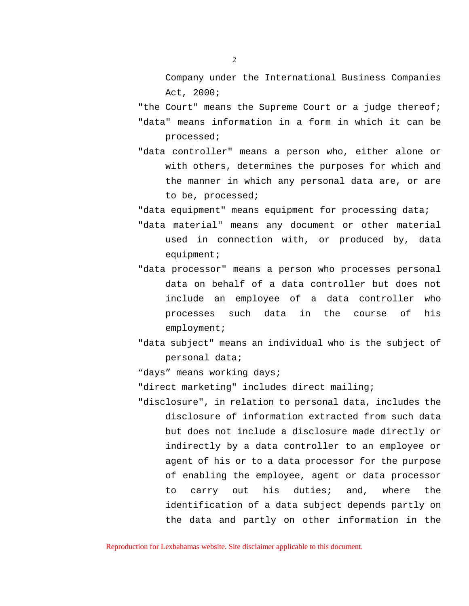Company under the International Business Companies Act, 2000;

"the Court" means the Supreme Court or a judge thereof; "data" means information in a form in which it can be processed;

"data controller" means a person who, either alone or with others, determines the purposes for which and the manner in which any personal data are, or are to be, processed;

"data equipment" means equipment for processing data;

- "data material" means any document or other material used in connection with, or produced by, data equipment;
- "data processor" means a person who processes personal data on behalf of a data controller but does not include an employee of a data controller who processes such data in the course of his employment;
- "data subject" means an individual who is the subject of personal data;

"days" means working days;

"direct marketing" includes direct mailing;

"disclosure", in relation to personal data, includes the disclosure of information extracted from such data but does not include a disclosure made directly or indirectly by a data controller to an employee or agent of his or to a data processor for the purpose of enabling the employee, agent or data processor to carry out his duties; and, where the identification of a data subject depends partly on the data and partly on other information in the

Reproduction for Lexbahamas website. Site disclaimer applicable to this document.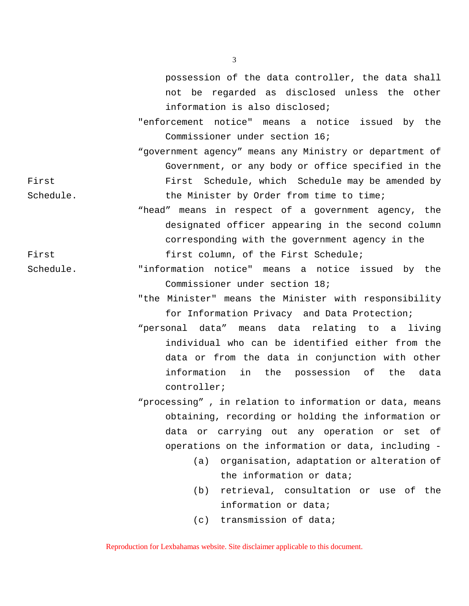possession of the data controller, the data shall not be regarded as disclosed unless the other information is also disclosed;

"enforcement notice" means a notice issued by the Commissioner under section 16;

"government agency" means any Ministry or department of Government, or any body or office specified in the First First Schedule, which Schedule may be amended by Schedule. The Minister by Order from time to time;

"head" means in respect of a government agency, the designated officer appearing in the second column corresponding with the government agency in the First  $f$  first column, of the First Schedule;

Schedule. "information notice" means a notice issued by the Commissioner under section 18;

> "the Minister" means the Minister with responsibility for Information Privacy and Data Protection;

> "personal data" means data relating to a living individual who can be identified either from the data or from the data in conjunction with other information in the possession of the data controller;

> "processing" , in relation to information or data, means obtaining, recording or holding the information or data or carrying out any operation or set of operations on the information or data, including -

- (a) organisation, adaptation or alteration of the information or data;
- (b) retrieval, consultation or use of the information or data;
- (c) transmission of data;

Reproduction for Lexbahamas website. Site disclaimer applicable to this document.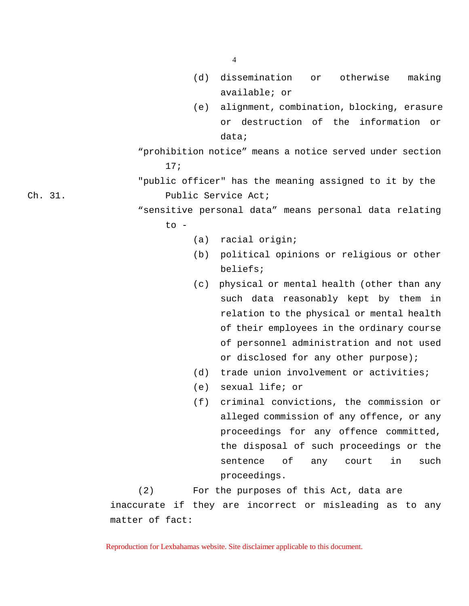- (d) dissemination or otherwise making available; or
- (e) alignment, combination, blocking, erasure or destruction of the information or data;
- "prohibition notice" means a notice served under section 17;
- "public officer" has the meaning assigned to it by the Ch. 31. Public Service Act;
	- "sensitive personal data" means personal data relating  $\overline{r}$   $\circ$  -
		- (a) racial origin;
		- (b) political opinions or religious or other beliefs;
		- (c) physical or mental health (other than any such data reasonably kept by them in relation to the physical or mental health of their employees in the ordinary course of personnel administration and not used or disclosed for any other purpose);
		- (d) trade union involvement or activities;
		- (e) sexual life; or
		- (f) criminal convictions, the commission or alleged commission of any offence, or any proceedings for any offence committed, the disposal of such proceedings or the sentence of any court in such proceedings.

(2) For the purposes of this Act, data are inaccurate if they are incorrect or misleading as to any matter of fact:

Reproduction for Lexbahamas website. Site disclaimer applicable to this document.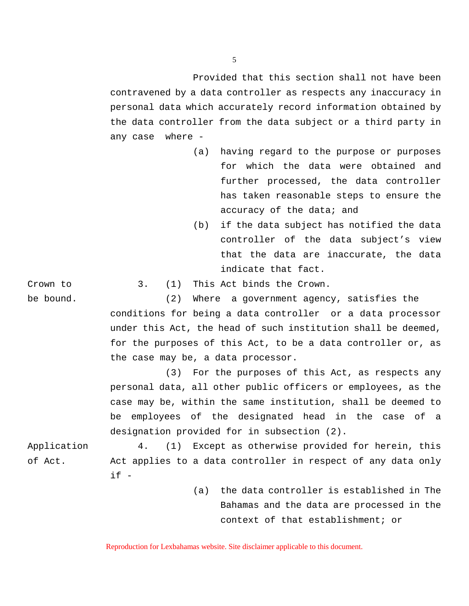Provided that this section shall not have been contravened by a data controller as respects any inaccuracy in personal data which accurately record information obtained by the data controller from the data subject or a third party in any case where -

- (a) having regard to the purpose or purposes for which the data were obtained and further processed, the data controller has taken reasonable steps to ensure the accuracy of the data; and
- (b) if the data subject has notified the data controller of the data subject's view that the data are inaccurate, the data indicate that fact.

Crown to 3. (1) This Act binds the Crown.

be bound. (2) Where a government agency, satisfies the conditions for being a data controller or a data processor under this Act, the head of such institution shall be deemed, for the purposes of this Act, to be a data controller or, as the case may be, a data processor.

> (3) For the purposes of this Act, as respects any personal data, all other public officers or employees, as the case may be, within the same institution, shall be deemed to be employees of the designated head in the case of a designation provided for in subsection (2).

Application 4. (1) Except as otherwise provided for herein, this of Act. Act applies to a data controller in respect of any data only  $if -$ 

> (a) the data controller is established in The Bahamas and the data are processed in the context of that establishment; or

Reproduction for Lexbahamas website. Site disclaimer applicable to this document.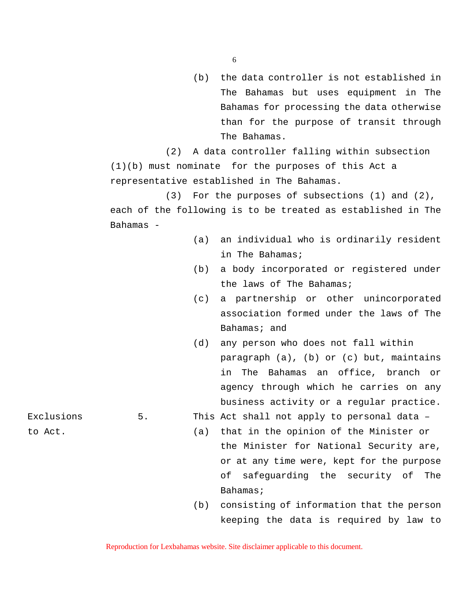(b) the data controller is not established in The Bahamas but uses equipment in The Bahamas for processing the data otherwise than for the purpose of transit through The Bahamas.

(2) A data controller falling within subsection (1)(b) must nominate for the purposes of this Act a representative established in The Bahamas.

(3) For the purposes of subsections (1) and (2), each of the following is to be treated as established in The Bahamas -

- (a) an individual who is ordinarily resident in The Bahamas;
- (b) a body incorporated or registered under the laws of The Bahamas;
- (c) a partnership or other unincorporated association formed under the laws of The Bahamas; and
- (d) any person who does not fall within paragraph (a), (b) or (c) but, maintains in The Bahamas an office, branch or agency through which he carries on any business activity or a regular practice.
- Exclusions 5. This Act shall not apply to personal data -
- to Act. (a) that in the opinion of the Minister or the Minister for National Security are, or at any time were, kept for the purpose of safeguarding the security of The Bahamas;
	- (b) consisting of information that the person keeping the data is required by law to

Reproduction for Lexbahamas website. Site disclaimer applicable to this document.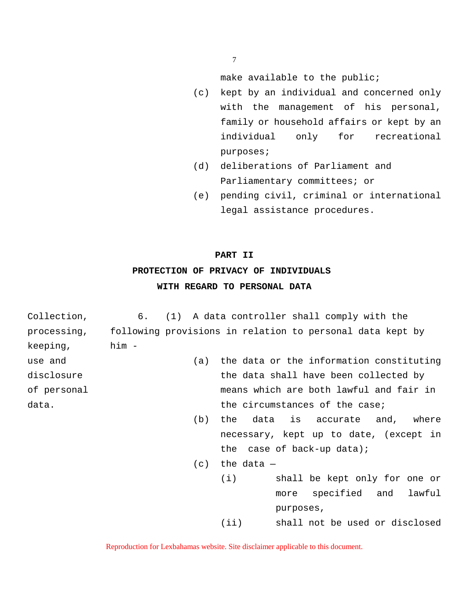7

make available to the public;

- (c) kept by an individual and concerned only with the management of his personal, family or household affairs or kept by an individual only for recreational purposes;
- (d) deliberations of Parliament and Parliamentary committees; or
- (e) pending civil, criminal or international legal assistance procedures.

# **PART II**

# **PROTECTION OF PRIVACY OF INDIVIDUALS WITH REGARD TO PERSONAL DATA**

Collection, 6. (1) A data controller shall comply with the processing, following provisions in relation to personal data kept by keeping, him use and (a) the data or the information constituting disclosure the data shall have been collected by of personal means which are both lawful and fair in data. The controller the circumstances of the case; (b) the data is accurate and, where necessary, kept up to date, (except in

the case of back-up data);

- $(c)$  the data  $-$ 
	- (i) shall be kept only for one or more specified and lawful purposes,

(ii) shall not be used or disclosed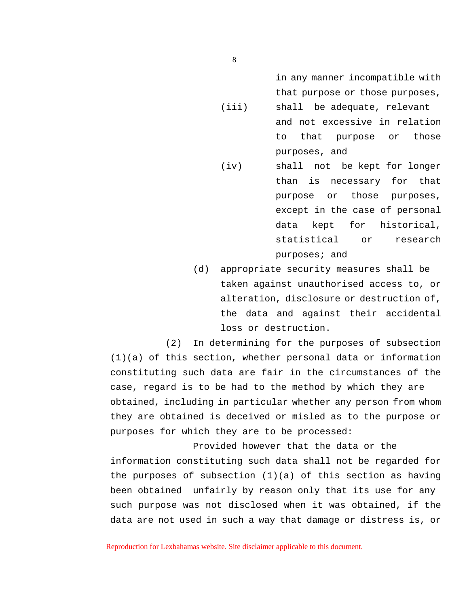in any manner incompatible with that purpose or those purposes,

- (iii) shall be adequate, relevant and not excessive in relation to that purpose or those purposes, and
- (iv) shall not be kept for longer than is necessary for that purpose or those purposes, except in the case of personal data kept for historical, statistical or research purposes; and
- (d) appropriate security measures shall be taken against unauthorised access to, or alteration, disclosure or destruction of, the data and against their accidental loss or destruction.

(2) In determining for the purposes of subsection (1)(a) of this section, whether personal data or information constituting such data are fair in the circumstances of the case, regard is to be had to the method by which they are obtained, including in particular whether any person from whom they are obtained is deceived or misled as to the purpose or purposes for which they are to be processed:

Provided however that the data or the information constituting such data shall not be regarded for the purposes of subsection (1)(a) of this section as having been obtained unfairly by reason only that its use for any such purpose was not disclosed when it was obtained, if the data are not used in such a way that damage or distress is, or

Reproduction for Lexbahamas website. Site disclaimer applicable to this document.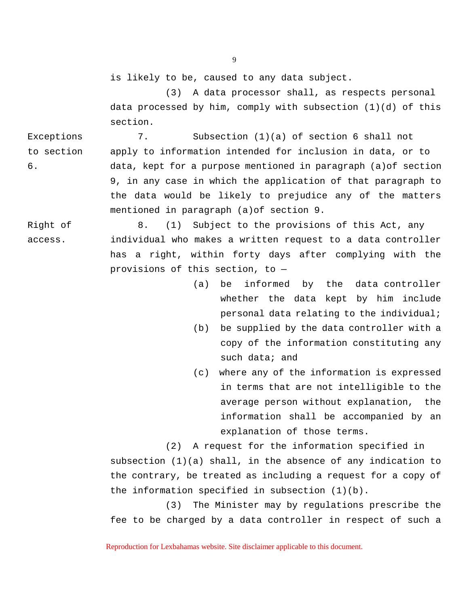is likely to be, caused to any data subject.

(3) A data processor shall, as respects personal data processed by him, comply with subsection  $(1)(d)$  of this section.

Exceptions 7. Subsection (1)(a) of section 6 shall not to section apply to information intended for inclusion in data, or to 6. data, kept for a purpose mentioned in paragraph (a)of section 9, in any case in which the application of that paragraph to the data would be likely to prejudice any of the matters mentioned in paragraph (a)of section 9.

Right of 8. (1) Subject to the provisions of this Act, any access. individual who makes a written request to a data controller has a right, within forty days after complying with the provisions of this section, to —

- (a) be informed by the data controller whether the data kept by him include personal data relating to the individual;
- (b) be supplied by the data controller with a copy of the information constituting any such data; and
- (c) where any of the information is expressed in terms that are not intelligible to the average person without explanation, the information shall be accompanied by an explanation of those terms.

(2) A request for the information specified in

subsection  $(1)(a)$  shall, in the absence of any indication to the contrary, be treated as including a request for a copy of the information specified in subsection (1)(b).

(3) The Minister may by regulations prescribe the fee to be charged by a data controller in respect of such a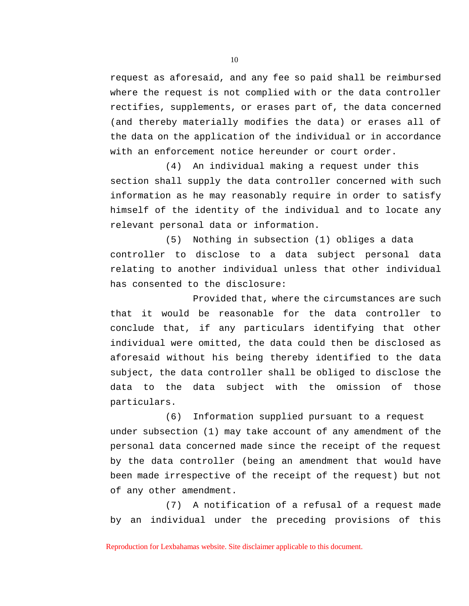request as aforesaid, and any fee so paid shall be reimbursed where the request is not complied with or the data controller rectifies, supplements, or erases part of, the data concerned (and thereby materially modifies the data) or erases all of the data on the application of the individual or in accordance with an enforcement notice hereunder or court order.

(4) An individual making a request under this section shall supply the data controller concerned with such information as he may reasonably require in order to satisfy himself of the identity of the individual and to locate any relevant personal data or information.

(5) Nothing in subsection (1) obliges a data controller to disclose to a data subject personal data relating to another individual unless that other individual has consented to the disclosure:

Provided that, where the circumstances are such that it would be reasonable for the data controller to conclude that, if any particulars identifying that other individual were omitted, the data could then be disclosed as aforesaid without his being thereby identified to the data subject, the data controller shall be obliged to disclose the data to the data subject with the omission of those particulars.

(6) Information supplied pursuant to a request under subsection (1) may take account of any amendment of the personal data concerned made since the receipt of the request by the data controller (being an amendment that would have been made irrespective of the receipt of the request) but not of any other amendment.

(7) A notification of a refusal of a request made by an individual under the preceding provisions of this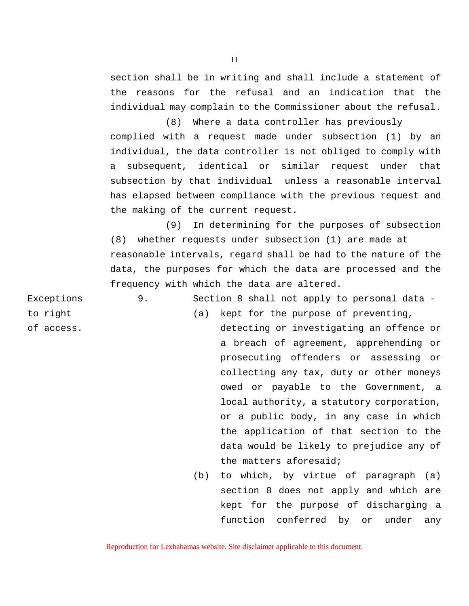section shall be in writing and shall include a statement of the reasons for the refusal and an indication that the individual may complain to the Commissioner about the refusal.

(8) Where a data controller has previously complied with a request made under subsection (1) by an individual, the data controller is not obliged to comply with a subsequent, identical or similar request under that subsection by that individual unless a reasonable interval has elapsed between compliance with the previous request and the making of the current request.

(9) In determining for the purposes of subsection (8) whether requests under subsection (1) are made at reasonable intervals, regard shall be had to the nature of the data, the purposes for which the data are processed and the frequency with which the data are altered.

Exceptions 9. Section 8 shall not apply to personal data -

- to right  $(a)$  kept for the purpose of preventing, of access. detecting or investigating an offence or a breach of agreement, apprehending or prosecuting offenders or assessing or collecting any tax, duty or other moneys owed or payable to the Government, a local authority, a statutory corporation, or a public body, in any case in which the application of that section to the data would be likely to prejudice any of the matters aforesaid;
	- (b) to which, by virtue of paragraph (a) section 8 does not apply and which are kept for the purpose of discharging a function conferred by or under any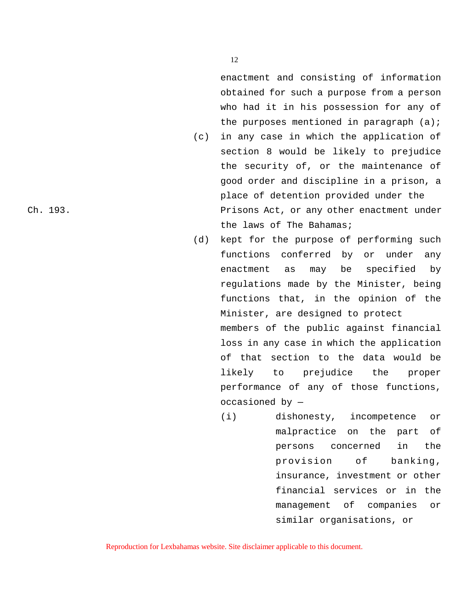enactment and consisting of information obtained for such a purpose from a person who had it in his possession for any of the purposes mentioned in paragraph  $(a)$ ;

- (c) in any case in which the application of section 8 would be likely to prejudice the security of, or the maintenance of good order and discipline in a prison, a place of detention provided under the Ch. 193. Prisons Act, or any other enactment under the laws of The Bahamas;
	- (d) kept for the purpose of performing such functions conferred by or under any enactment as may be specified by regulations made by the Minister, being functions that, in the opinion of the Minister, are designed to protect members of the public against financial loss in any case in which the application of that section to the data would be likely to prejudice the proper performance of any of those functions, occasioned by —
		- (i) dishonesty, incompetence or malpractice on the part of persons concerned in the provision of banking, insurance, investment or other financial services or in the management of companies or similar organisations, or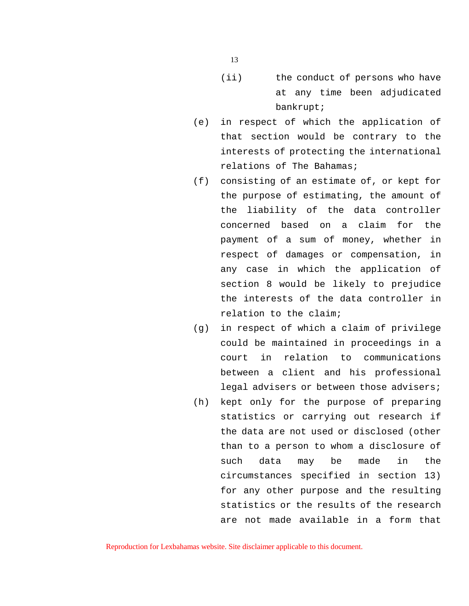- (ii) the conduct of persons who have at any time been adjudicated bankrupt;
- (e) in respect of which the application of that section would be contrary to the interests of protecting the international relations of The Bahamas;
- (f) consisting of an estimate of, or kept for the purpose of estimating, the amount of the liability of the data controller concerned based on a claim for the payment of a sum of money, whether in respect of damages or compensation, in any case in which the application of section 8 would be likely to prejudice the interests of the data controller in relation to the claim;
- (g) in respect of which a claim of privilege could be maintained in proceedings in a court in relation to communications between a client and his professional legal advisers or between those advisers;
- (h) kept only for the purpose of preparing statistics or carrying out research if the data are not used or disclosed (other than to a person to whom a disclosure of such data may be made in the circumstances specified in section 13) for any other purpose and the resulting statistics or the results of the research are not made available in a form that

Reproduction for Lexbahamas website. Site disclaimer applicable to this document.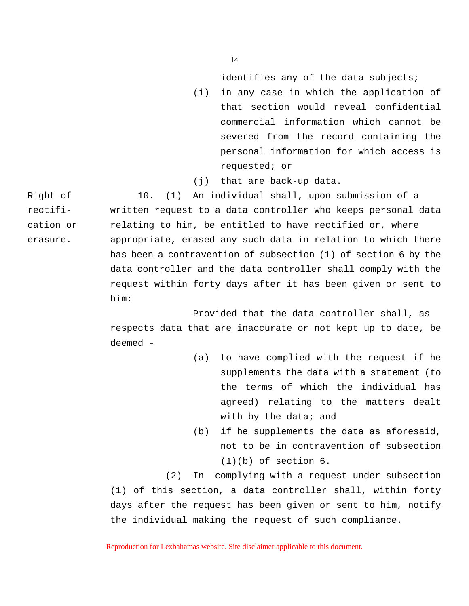identifies any of the data subjects;

- (i) in any case in which the application of that section would reveal confidential commercial information which cannot be severed from the record containing the personal information for which access is requested; or
- (j) that are back-up data.

Right of 10. (1) An individual shall, upon submission of a rectifi- written request to a data controller who keeps personal data cation or relating to him, be entitled to have rectified or, where erasure. appropriate, erased any such data in relation to which there has been a contravention of subsection (1) of section 6 by the data controller and the data controller shall comply with the request within forty days after it has been given or sent to him:

> Provided that the data controller shall, as respects data that are inaccurate or not kept up to date, be deemed -

- (a) to have complied with the request if he supplements the data with a statement (to the terms of which the individual has agreed) relating to the matters dealt with by the data; and
- (b) if he supplements the data as aforesaid, not to be in contravention of subsection  $(1)(b)$  of section  $6$ .

(2) In complying with a request under subsection (1) of this section, a data controller shall, within forty days after the request has been given or sent to him, notify the individual making the request of such compliance.

Reproduction for Lexbahamas website. Site disclaimer applicable to this document.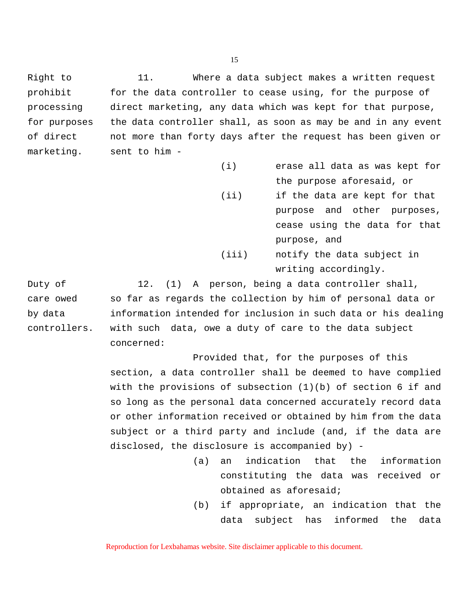Right to 11. Where a data subject makes a written request prohibit for the data controller to cease using, for the purpose of processing direct marketing, any data which was kept for that purpose, for purposes the data controller shall, as soon as may be and in any event of direct not more than forty days after the request has been given or marketing. sent to him -

> (i) erase all data as was kept for the purpose aforesaid, or (ii) if the data are kept for that purpose and other purposes, cease using the data for that purpose, and (iii) notify the data subject in writing accordingly.

Duty of 12. (1) A person, being a data controller shall, care owed so far as regards the collection by him of personal data or by data information intended for inclusion in such data or his dealing controllers. with such data, owe a duty of care to the data subject concerned:

> Provided that, for the purposes of this section, a data controller shall be deemed to have complied with the provisions of subsection (1)(b) of section 6 if and so long as the personal data concerned accurately record data or other information received or obtained by him from the data subject or a third party and include (and, if the data are disclosed, the disclosure is accompanied by) -

- (a) an indication that the information constituting the data was received or obtained as aforesaid;
- (b) if appropriate, an indication that the data subject has informed the data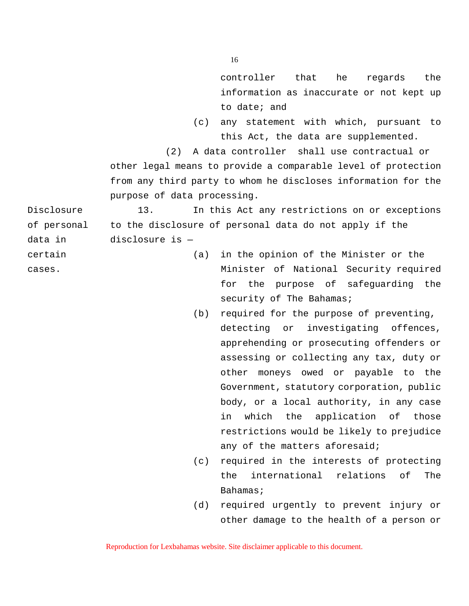controller that he regards the information as inaccurate or not kept up to date; and

(c) any statement with which, pursuant to this Act, the data are supplemented.

(2) A data controller shall use contractual or other legal means to provide a comparable level of protection from any third party to whom he discloses information for the purpose of data processing.

Disclosure 13. In this Act any restrictions on or exceptions of personal to the disclosure of personal data do not apply if the data in disclosure is —

- certain (a) in the opinion of the Minister or the cases. Minister of National Security required for the purpose of safeguarding the security of The Bahamas;
	- (b) required for the purpose of preventing, detecting or investigating offences, apprehending or prosecuting offenders or assessing or collecting any tax, duty or other moneys owed or payable to the Government, statutory corporation, public body, or a local authority, in any case in which the application of those restrictions would be likely to prejudice any of the matters aforesaid;
	- (c) required in the interests of protecting the international relations of The Bahamas;
	- (d) required urgently to prevent injury or other damage to the health of a person or

Reproduction for Lexbahamas website. Site disclaimer applicable to this document.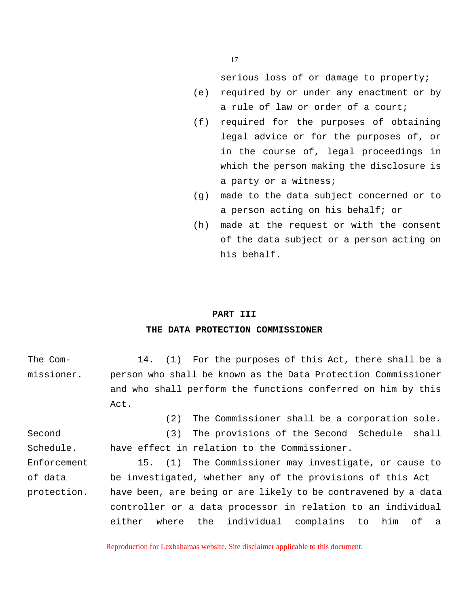serious loss of or damage to property;

- (e) required by or under any enactment or by a rule of law or order of a court;
- (f) required for the purposes of obtaining legal advice or for the purposes of, or in the course of, legal proceedings in which the person making the disclosure is a party or a witness;
- (g) made to the data subject concerned or to a person acting on his behalf; or
- (h) made at the request or with the consent of the data subject or a person acting on his behalf.

# **PART III**

# **THE DATA PROTECTION COMMISSIONER**

| The Com-    | 14. (1) For the purposes of this Act, there shall be a         |
|-------------|----------------------------------------------------------------|
| missioner.  | person who shall be known as the Data Protection Commissioner  |
|             | and who shall perform the functions conferred on him by this   |
|             | Act.                                                           |
|             | The Commissioner shall be a corporation sole.<br>(2)           |
| Second      | The provisions of the Second Schedule shall<br>(3)             |
| Schedule.   | have effect in relation to the Commissioner.                   |
| Enforcement | 15. (1) The Commissioner may investigate, or cause to          |
| of data     | be investigated, whether any of the provisions of this Act     |
| protection. | have been, are being or are likely to be contravened by a data |
|             | controller or a data processor in relation to an individual    |
|             | either where the individual complains to him of a              |
|             |                                                                |

Reproduction for Lexbahamas website. Site disclaimer applicable to this document.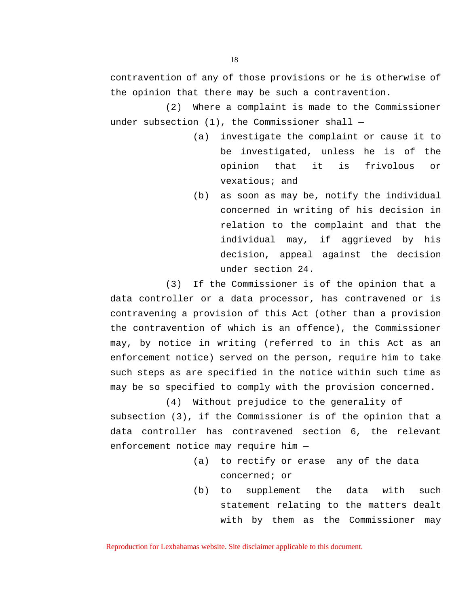contravention of any of those provisions or he is otherwise of the opinion that there may be such a contravention.

(2) Where a complaint is made to the Commissioner under subsection (1), the Commissioner shall —

- (a) investigate the complaint or cause it to be investigated, unless he is of the opinion that it is frivolous or vexatious; and
- (b) as soon as may be, notify the individual concerned in writing of his decision in relation to the complaint and that the individual may, if aggrieved by his decision, appeal against the decision under section 24.

(3) If the Commissioner is of the opinion that a

data controller or a data processor, has contravened or is contravening a provision of this Act (other than a provision the contravention of which is an offence), the Commissioner may, by notice in writing (referred to in this Act as an enforcement notice) served on the person, require him to take such steps as are specified in the notice within such time as may be so specified to comply with the provision concerned.

(4) Without prejudice to the generality of

subsection (3), if the Commissioner is of the opinion that a data controller has contravened section 6, the relevant enforcement notice may require him —

- (a) to rectify or erase any of the data concerned; or
- (b) to supplement the data with such statement relating to the matters dealt with by them as the Commissioner may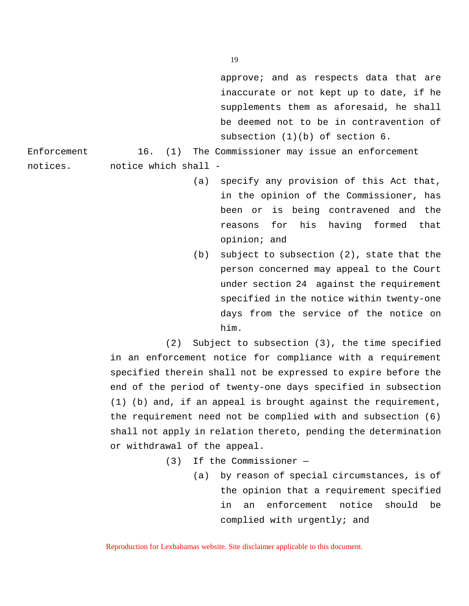approve; and as respects data that are inaccurate or not kept up to date, if he supplements them as aforesaid, he shall be deemed not to be in contravention of subsection (1)(b) of section 6.

Enforcement 16. (1) The Commissioner may issue an enforcement

notices. notice which shall -

- (a) specify any provision of this Act that, in the opinion of the Commissioner, has been or is being contravened and the reasons for his having formed that opinion; and
- (b) subject to subsection (2), state that the person concerned may appeal to the Court under section 24 against the requirement specified in the notice within twenty-one days from the service of the notice on him.

(2) Subject to subsection (3), the time specified in an enforcement notice for compliance with a requirement specified therein shall not be expressed to expire before the end of the period of twenty-one days specified in subsection (1) (b) and, if an appeal is brought against the requirement, the requirement need not be complied with and subsection (6) shall not apply in relation thereto, pending the determination or withdrawal of the appeal.

(3) If the Commissioner —

(a) by reason of special circumstances, is of the opinion that a requirement specified in an enforcement notice should be complied with urgently; and

Reproduction for Lexbahamas website. Site disclaimer applicable to this document.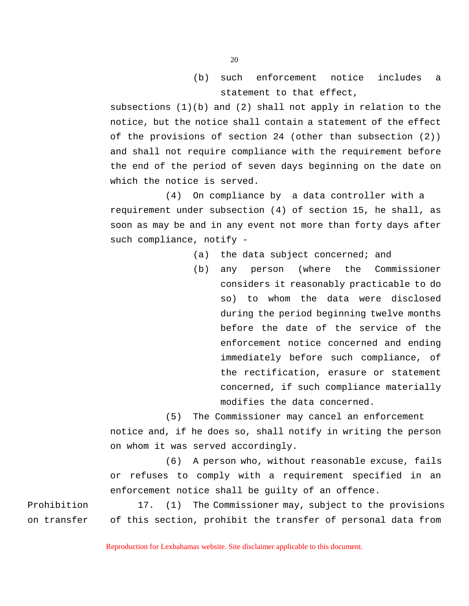(b) such enforcement notice includes a statement to that effect,

subsections  $(1)(b)$  and  $(2)$  shall not apply in relation to the notice, but the notice shall contain a statement of the effect of the provisions of section 24 (other than subsection (2)) and shall not require compliance with the requirement before the end of the period of seven days beginning on the date on which the notice is served.

(4) On compliance by a data controller with a requirement under subsection (4) of section 15, he shall, as soon as may be and in any event not more than forty days after such compliance, notify -

- (a) the data subject concerned; and
- (b) any person (where the Commissioner considers it reasonably practicable to do so) to whom the data were disclosed during the period beginning twelve months before the date of the service of the enforcement notice concerned and ending immediately before such compliance, of the rectification, erasure or statement concerned, if such compliance materially modifies the data concerned.

(5) The Commissioner may cancel an enforcement

notice and, if he does so, shall notify in writing the person on whom it was served accordingly.

(6) A person who, without reasonable excuse, fails or refuses to comply with a requirement specified in an enforcement notice shall be guilty of an offence.

Prohibition 17. (1) The Commissioner may, subject to the provisions on transfer of this section, prohibit the transfer of personal data from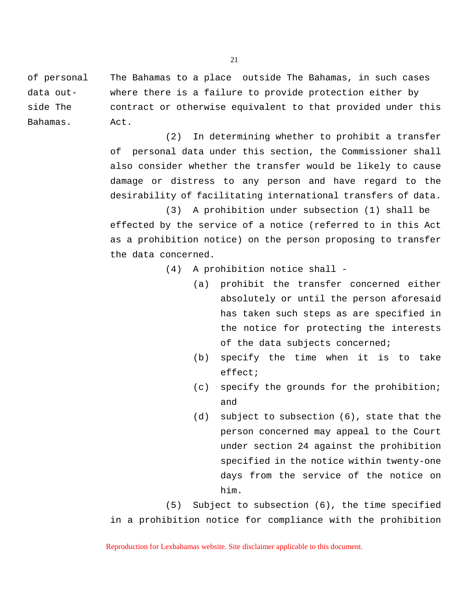of personal The Bahamas to a place outside The Bahamas, in such cases data out- where there is a failure to provide protection either by side The contract or otherwise equivalent to that provided under this Bahamas. Act.

> (2) In determining whether to prohibit a transfer of personal data under this section, the Commissioner shall also consider whether the transfer would be likely to cause damage or distress to any person and have regard to the desirability of facilitating international transfers of data.

> (3) A prohibition under subsection (1) shall be effected by the service of a notice (referred to in this Act as a prohibition notice) on the person proposing to transfer the data concerned.

- (4) A prohibition notice shall
	- (a) prohibit the transfer concerned either absolutely or until the person aforesaid has taken such steps as are specified in the notice for protecting the interests of the data subjects concerned;
	- (b) specify the time when it is to take effect;
	- (c) specify the grounds for the prohibition; and
	- (d) subject to subsection (6), state that the person concerned may appeal to the Court under section 24 against the prohibition specified in the notice within twenty-one days from the service of the notice on him.

(5) Subject to subsection (6), the time specified in a prohibition notice for compliance with the prohibition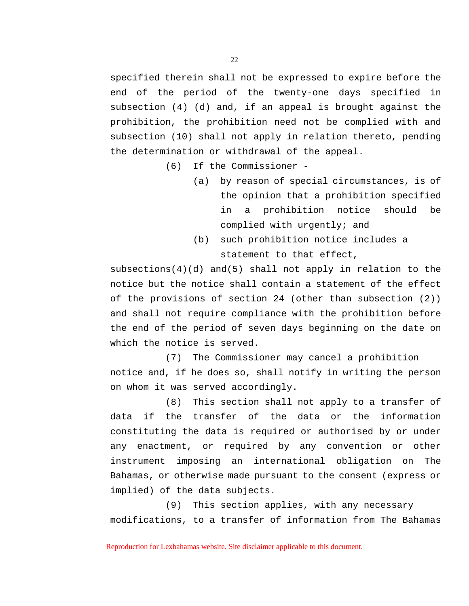specified therein shall not be expressed to expire before the end of the period of the twenty-one days specified in subsection (4) (d) and, if an appeal is brought against the prohibition, the prohibition need not be complied with and subsection (10) shall not apply in relation thereto, pending the determination or withdrawal of the appeal.

(6) If the Commissioner -

- (a) by reason of special circumstances, is of the opinion that a prohibition specified in a prohibition notice should be complied with urgently; and
- (b) such prohibition notice includes a statement to that effect,

subsections(4)(d) and(5) shall not apply in relation to the notice but the notice shall contain a statement of the effect of the provisions of section 24 (other than subsection (2)) and shall not require compliance with the prohibition before the end of the period of seven days beginning on the date on which the notice is served.

(7) The Commissioner may cancel a prohibition notice and, if he does so, shall notify in writing the person on whom it was served accordingly.

(8) This section shall not apply to a transfer of data if the transfer of the data or the information constituting the data is required or authorised by or under any enactment, or required by any convention or other instrument imposing an international obligation on The Bahamas, or otherwise made pursuant to the consent (express or implied) of the data subjects.

(9) This section applies, with any necessary modifications, to a transfer of information from The Bahamas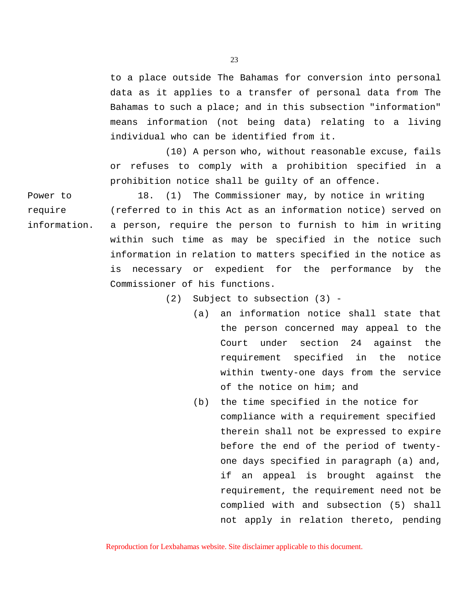to a place outside The Bahamas for conversion into personal data as it applies to a transfer of personal data from The Bahamas to such a place; and in this subsection "information" means information (not being data) relating to a living individual who can be identified from it.

(10) A person who, without reasonable excuse, fails or refuses to comply with a prohibition specified in a prohibition notice shall be guilty of an offence.

Power to 18. (1) The Commissioner may, by notice in writing require (referred to in this Act as an information notice) served on information. a person, require the person to furnish to him in writing within such time as may be specified in the notice such information in relation to matters specified in the notice as is necessary or expedient for the performance by the Commissioner of his functions.

(2) Subject to subsection (3) -

- (a) an information notice shall state that the person concerned may appeal to the Court under section 24 against the requirement specified in the notice within twenty-one days from the service of the notice on him; and
- (b) the time specified in the notice for compliance with a requirement specified therein shall not be expressed to expire before the end of the period of twentyone days specified in paragraph (a) and, if an appeal is brought against the requirement, the requirement need not be complied with and subsection (5) shall not apply in relation thereto, pending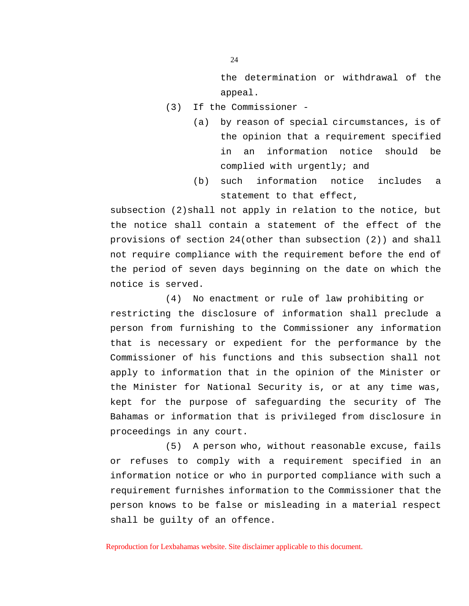the determination or withdrawal of the appeal.

- (3) If the Commissioner
	- (a) by reason of special circumstances, is of the opinion that a requirement specified in an information notice should be complied with urgently; and
	- (b) such information notice includes a statement to that effect,

subsection (2)shall not apply in relation to the notice, but the notice shall contain a statement of the effect of the provisions of section 24(other than subsection (2)) and shall not require compliance with the requirement before the end of the period of seven days beginning on the date on which the notice is served.

(4) No enactment or rule of law prohibiting or restricting the disclosure of information shall preclude a person from furnishing to the Commissioner any information that is necessary or expedient for the performance by the Commissioner of his functions and this subsection shall not apply to information that in the opinion of the Minister or the Minister for National Security is, or at any time was, kept for the purpose of safeguarding the security of The Bahamas or information that is privileged from disclosure in proceedings in any court.

(5) A person who, without reasonable excuse, fails or refuses to comply with a requirement specified in an information notice or who in purported compliance with such a requirement furnishes information to the Commissioner that the person knows to be false or misleading in a material respect shall be guilty of an offence.

Reproduction for Lexbahamas website. Site disclaimer applicable to this document.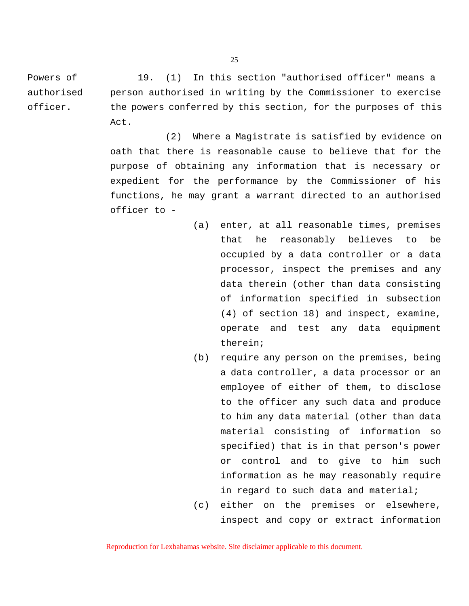Powers of 19. (1) In this section "authorised officer" means a authorised person authorised in writing by the Commissioner to exercise officer. the powers conferred by this section, for the purposes of this Act.

> (2) Where a Magistrate is satisfied by evidence on oath that there is reasonable cause to believe that for the purpose of obtaining any information that is necessary or expedient for the performance by the Commissioner of his functions, he may grant a warrant directed to an authorised officer to -

- (a) enter, at all reasonable times, premises that he reasonably believes to be occupied by a data controller or a data processor, inspect the premises and any data therein (other than data consisting of information specified in subsection (4) of section 18) and inspect, examine, operate and test any data equipment therein;
- (b) require any person on the premises, being a data controller, a data processor or an employee of either of them, to disclose to the officer any such data and produce to him any data material (other than data material consisting of information so specified) that is in that person's power or control and to give to him such information as he may reasonably require in regard to such data and material;
- (c) either on the premises or elsewhere, inspect and copy or extract information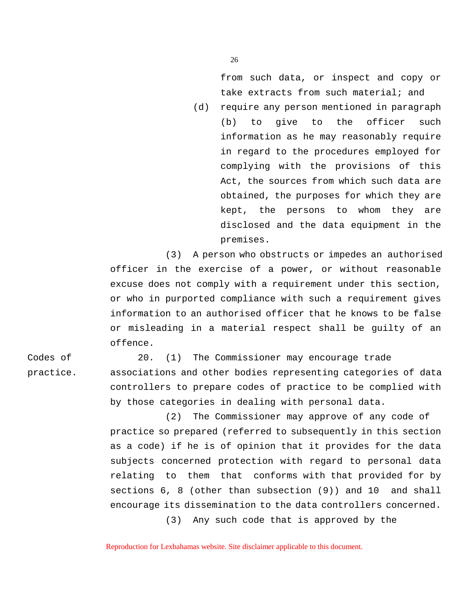from such data, or inspect and copy or take extracts from such material; and

(d) require any person mentioned in paragraph (b) to give to the officer such information as he may reasonably require in regard to the procedures employed for complying with the provisions of this Act, the sources from which such data are obtained, the purposes for which they are kept, the persons to whom they are disclosed and the data equipment in the premises.

(3) A person who obstructs or impedes an authorised officer in the exercise of a power, or without reasonable excuse does not comply with a requirement under this section, or who in purported compliance with such a requirement gives information to an authorised officer that he knows to be false or misleading in a material respect shall be guilty of an offence.

Codes of 20. (1) The Commissioner may encourage trade practice. associations and other bodies representing categories of data controllers to prepare codes of practice to be complied with by those categories in dealing with personal data.

> (2) The Commissioner may approve of any code of practice so prepared (referred to subsequently in this section as a code) if he is of opinion that it provides for the data subjects concerned protection with regard to personal data relating to them that conforms with that provided for by sections 6, 8 (other than subsection (9)) and 10 and shall encourage its dissemination to the data controllers concerned.

> > (3) Any such code that is approved by the

Reproduction for Lexbahamas website. Site disclaimer applicable to this document.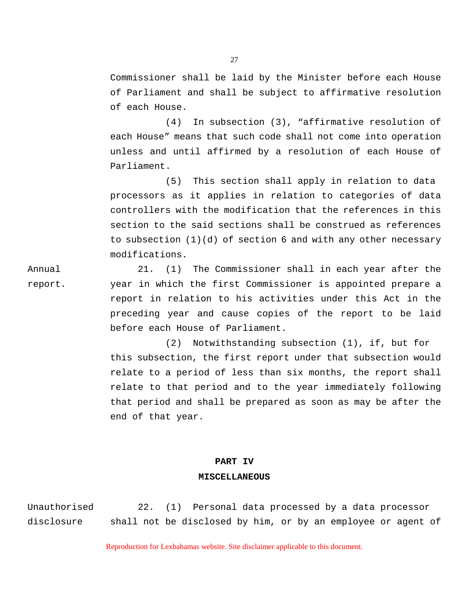Commissioner shall be laid by the Minister before each House of Parliament and shall be subject to affirmative resolution of each House.

(4) In subsection (3), "affirmative resolution of each House" means that such code shall not come into operation unless and until affirmed by a resolution of each House of Parliament.

(5) This section shall apply in relation to data processors as it applies in relation to categories of data controllers with the modification that the references in this section to the said sections shall be construed as references to subsection (1)(d) of section 6 and with any other necessary modifications.

Annual 21. (1) The Commissioner shall in each year after the report. year in which the first Commissioner is appointed prepare a report in relation to his activities under this Act in the preceding year and cause copies of the report to be laid before each House of Parliament.

> (2) Notwithstanding subsection (1), if, but for this subsection, the first report under that subsection would relate to a period of less than six months, the report shall relate to that period and to the year immediately following that period and shall be prepared as soon as may be after the end of that year.

#### **PART IV**

### **MISCELLANEOUS**

Unauthorised 22. (1) Personal data processed by a data processor disclosure shall not be disclosed by him, or by an employee or agent of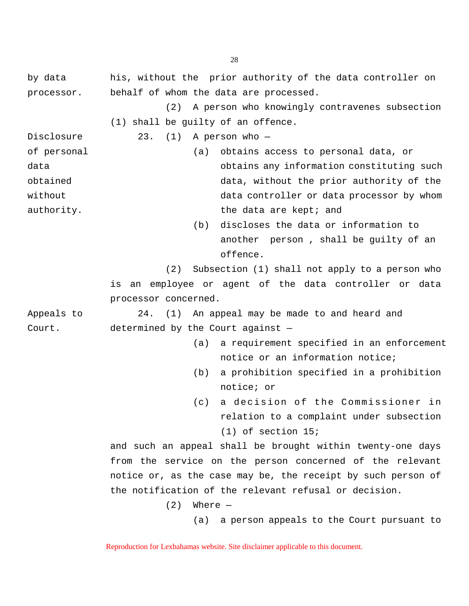by data his, without the prior authority of the data controller on processor. behalf of whom the data are processed.

> (2) A person who knowingly contravenes subsection (1) shall be guilty of an offence.

Disclosure 23. (1) A person who -

of personal (a) obtains access to personal data, or data obtains any information constituting such obtained data, without the prior authority of the without  $\qquad \qquad \text{data controller}$  or data processor by whom authority. The data are kept; and

> (b) discloses the data or information to another person , shall be guilty of an offence.

(2) Subsection (1) shall not apply to a person who

is an employee or agent of the data controller or data processor concerned.

Appeals to 24. (1) An appeal may be made to and heard and Court. determined by the Court against —

- (a) a requirement specified in an enforcement notice or an information notice;
- (b) a prohibition specified in a prohibition notice; or
- (c) a decision of the Commissioner in relation to a complaint under subsection (1) of section 15;

and such an appeal shall be brought within twenty-one days from the service on the person concerned of the relevant notice or, as the case may be, the receipt by such person of the notification of the relevant refusal or decision.

 $(2)$  Where  $-$ 

(a) a person appeals to the Court pursuant to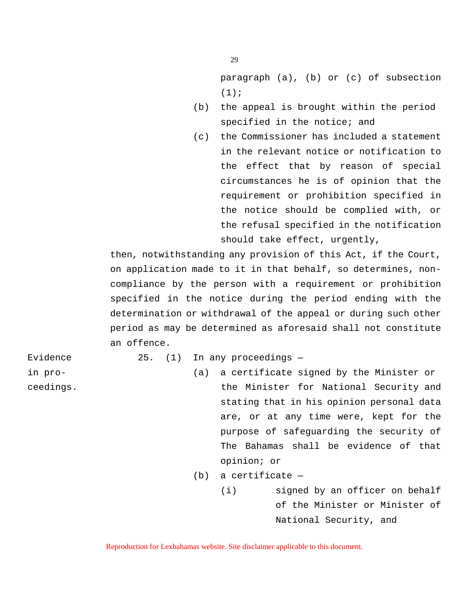paragraph (a), (b) or (c) of subsection  $(1);$ 

- (b) the appeal is brought within the period specified in the notice; and
- (c) the Commissioner has included a statement in the relevant notice or notification to the effect that by reason of special circumstances he is of opinion that the requirement or prohibition specified in the notice should be complied with, or the refusal specified in the notification should take effect, urgently,

then, notwithstanding any provision of this Act, if the Court, on application made to it in that behalf, so determines, noncompliance by the person with a requirement or prohibition specified in the notice during the period ending with the determination or withdrawal of the appeal or during such other period as may be determined as aforesaid shall not constitute an offence.

Evidence 25. (1) In any proceedings -

- in pro- (a) a certificate signed by the Minister or ceedings. The Minister for National Security and stating that in his opinion personal data are, or at any time were, kept for the purpose of safeguarding the security of The Bahamas shall be evidence of that opinion; or
	- (b) a certificate
		- (i) signed by an officer on behalf of the Minister or Minister of National Security, and

Reproduction for Lexbahamas website. Site disclaimer applicable to this document.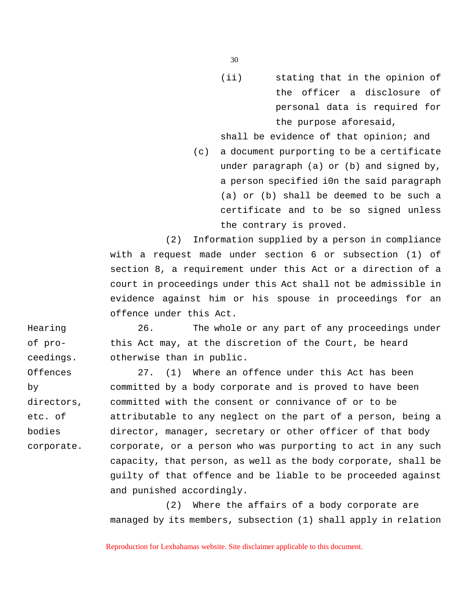(ii) stating that in the opinion of the officer a disclosure of personal data is required for the purpose aforesaid,

shall be evidence of that opinion; and

(c) a document purporting to be a certificate under paragraph (a) or (b) and signed by, a person specified i0n the said paragraph (a) or (b) shall be deemed to be such a certificate and to be so signed unless the contrary is proved.

(2) Information supplied by a person in compliance with a request made under section 6 or subsection (1) of section 8, a requirement under this Act or a direction of a court in proceedings under this Act shall not be admissible in evidence against him or his spouse in proceedings for an offence under this Act.

Hearing 26. The whole or any part of any proceedings under of pro- this Act may, at the discretion of the Court, be heard ceedings. otherwise than in public.

Offences 27. (1) Where an offence under this Act has been by committed by a body corporate and is proved to have been directors, committed with the consent or connivance of or to be etc. of attributable to any neglect on the part of a person, being a bodies director, manager, secretary or other officer of that body corporate. corporate, or a person who was purporting to act in any such capacity, that person, as well as the body corporate, shall be guilty of that offence and be liable to be proceeded against and punished accordingly.

> (2) Where the affairs of a body corporate are managed by its members, subsection (1) shall apply in relation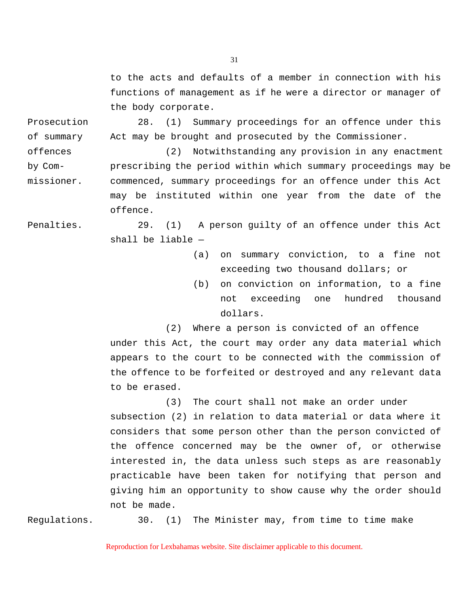to the acts and defaults of a member in connection with his functions of management as if he were a director or manager of the body corporate.

Prosecution 28. (1) Summary proceedings for an offence under this of summary Act may be brought and prosecuted by the Commissioner.

offences (2) Notwithstanding any provision in any enactment by Com- prescribing the period within which summary proceedings may be missioner. commenced, summary proceedings for an offence under this Act may be instituted within one year from the date of the offence.

Penalties. 29. (1) A person guilty of an offence under this Act shall be liable —

- (a) on summary conviction, to a fine not exceeding two thousand dollars; or
- (b) on conviction on information, to a fine not exceeding one hundred thousand dollars.

(2) Where a person is convicted of an offence under this Act, the court may order any data material which appears to the court to be connected with the commission of the offence to be forfeited or destroyed and any relevant data to be erased.

(3) The court shall not make an order under subsection (2) in relation to data material or data where it considers that some person other than the person convicted of the offence concerned may be the owner of, or otherwise interested in, the data unless such steps as are reasonably practicable have been taken for notifying that person and giving him an opportunity to show cause why the order should not be made.

Regulations. 30. (1) The Minister may, from time to time make

Reproduction for Lexbahamas website. Site disclaimer applicable to this document.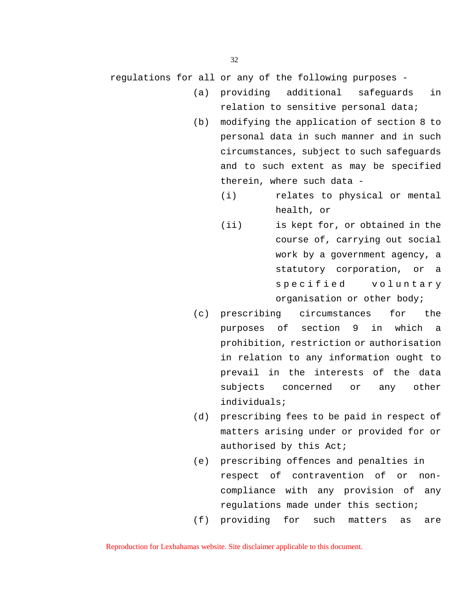regulations for all or any of the following purposes -

- (a) providing additional safeguards in relation to sensitive personal data;
- (b) modifying the application of section 8 to personal data in such manner and in such circumstances, subject to such safeguards and to such extent as may be specified therein, where such data -
	- (i) relates to physical or mental health, or
	- (ii) is kept for, or obtained in the course of, carrying out social work by a government agency, a statutory corporation, or a specified voluntary organisation or other body;
- (c) prescribing circumstances for the purposes of section 9 in which a prohibition, restriction or authorisation in relation to any information ought to prevail in the interests of the data subjects concerned or any other individuals;
- (d) prescribing fees to be paid in respect of matters arising under or provided for or authorised by this Act;
- (e) prescribing offences and penalties in respect of contravention of or noncompliance with any provision of any regulations made under this section;
- (f) providing for such matters as are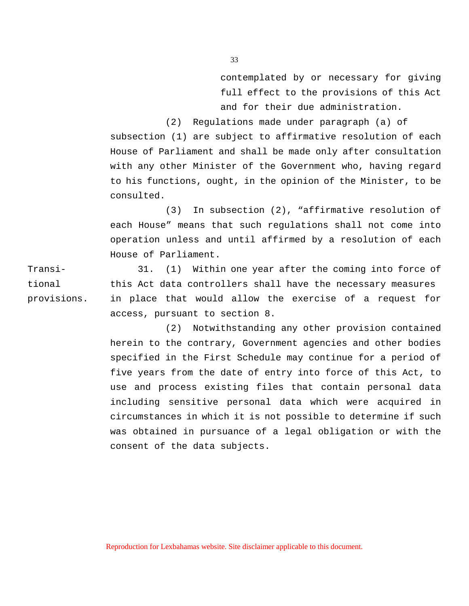contemplated by or necessary for giving full effect to the provisions of this Act and for their due administration.

(2) Regulations made under paragraph (a) of subsection (1) are subject to affirmative resolution of each House of Parliament and shall be made only after consultation with any other Minister of the Government who, having regard to his functions, ought, in the opinion of the Minister, to be consulted.

(3) In subsection (2), "affirmative resolution of each House" means that such regulations shall not come into operation unless and until affirmed by a resolution of each House of Parliament.

Transi- 31. (1) Within one year after the coming into force of tional this Act data controllers shall have the necessary measures provisions. in place that would allow the exercise of a request for access, pursuant to section 8.

> (2) Notwithstanding any other provision contained herein to the contrary, Government agencies and other bodies specified in the First Schedule may continue for a period of five years from the date of entry into force of this Act, to use and process existing files that contain personal data including sensitive personal data which were acquired in circumstances in which it is not possible to determine if such was obtained in pursuance of a legal obligation or with the consent of the data subjects.

Reproduction for Lexbahamas website. Site disclaimer applicable to this document.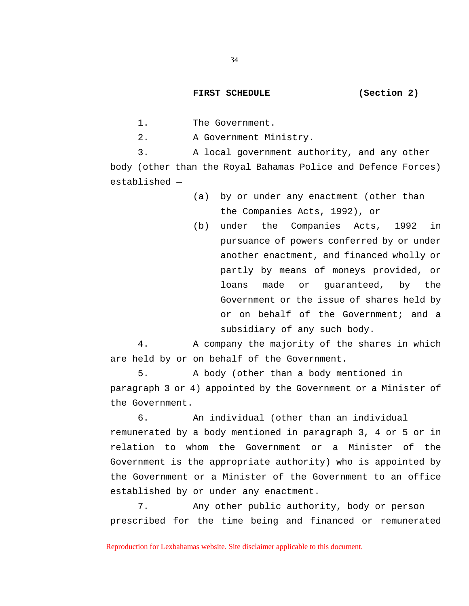# **FIRST SCHEDULE (Section 2)**

1. The Government.

2. A Government Ministry.

3. A local government authority, and any other body (other than the Royal Bahamas Police and Defence Forces) established —

- (a) by or under any enactment (other than the Companies Acts, 1992), or
- (b) under the Companies Acts, 1992 in pursuance of powers conferred by or under another enactment, and financed wholly or partly by means of moneys provided, or loans made or guaranteed, by the Government or the issue of shares held by or on behalf of the Government; and a subsidiary of any such body.

4. A company the majority of the shares in which are held by or on behalf of the Government.

5. A body (other than a body mentioned in paragraph 3 or 4) appointed by the Government or a Minister of the Government.

6. An individual (other than an individual remunerated by a body mentioned in paragraph 3, 4 or 5 or in relation to whom the Government or a Minister of the Government is the appropriate authority) who is appointed by the Government or a Minister of the Government to an office established by or under any enactment.

7. Any other public authority, body or person prescribed for the time being and financed or remunerated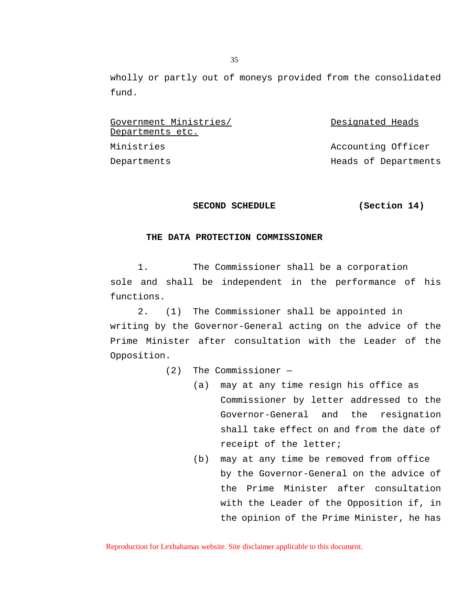wholly or partly out of moneys provided from the consolidated fund.

Government Ministries/ Covernment Ministries/ Departments etc. Ministries **Accounting Officer** Departments Heads of Departments

# **SECOND SCHEDULE (Section 14)**

## **THE DATA PROTECTION COMMISSIONER**

1. The Commissioner shall be a corporation sole and shall be independent in the performance of his functions.

2. (1) The Commissioner shall be appointed in writing by the Governor-General acting on the advice of the Prime Minister after consultation with the Leader of the Opposition.

(2) The Commissioner —

- (a) may at any time resign his office as Commissioner by letter addressed to the Governor-General and the resignation shall take effect on and from the date of receipt of the letter;
- (b) may at any time be removed from office by the Governor-General on the advice of the Prime Minister after consultation with the Leader of the Opposition if, in the opinion of the Prime Minister, he has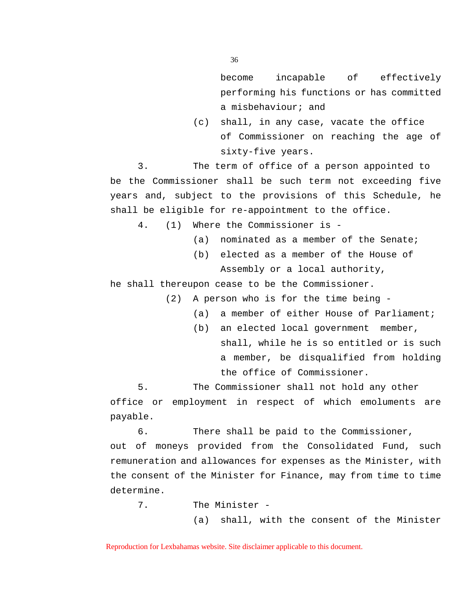become incapable of effectively performing his functions or has committed a misbehaviour; and

(c) shall, in any case, vacate the office of Commissioner on reaching the age of sixty-five years.

3. The term of office of a person appointed to be the Commissioner shall be such term not exceeding five years and, subject to the provisions of this Schedule, he shall be eligible for re-appointment to the office.

4. (1) Where the Commissioner is -

- (a) nominated as a member of the Senate;
- (b) elected as a member of the House of Assembly or a local authority,

he shall thereupon cease to be the Commissioner.

(2) A person who is for the time being -

- (a) a member of either House of Parliament;
- (b) an elected local government member, shall, while he is so entitled or is such a member, be disqualified from holding the office of Commissioner.

5. The Commissioner shall not hold any other office or employment in respect of which emoluments are payable.

6. There shall be paid to the Commissioner, out of moneys provided from the Consolidated Fund, such remuneration and allowances for expenses as the Minister, with the consent of the Minister for Finance, may from time to time determine.

7. The Minister -

(a) shall, with the consent of the Minister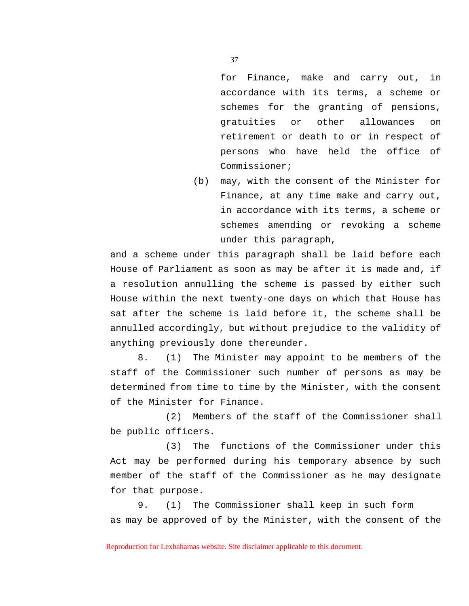for Finance, make and carry out, in accordance with its terms, a scheme or schemes for the granting of pensions, gratuities or other allowances on retirement or death to or in respect of persons who have held the office of Commissioner;

(b) may, with the consent of the Minister for Finance, at any time make and carry out, in accordance with its terms, a scheme or schemes amending or revoking a scheme under this paragraph,

and a scheme under this paragraph shall be laid before each House of Parliament as soon as may be after it is made and, if a resolution annulling the scheme is passed by either such House within the next twenty-one days on which that House has sat after the scheme is laid before it, the scheme shall be annulled accordingly, but without prejudice to the validity of anything previously done thereunder.

8. (1) The Minister may appoint to be members of the staff of the Commissioner such number of persons as may be determined from time to time by the Minister, with the consent of the Minister for Finance.

(2) Members of the staff of the Commissioner shall be public officers.

(3) The functions of the Commissioner under this Act may be performed during his temporary absence by such member of the staff of the Commissioner as he may designate for that purpose.

9. (1) The Commissioner shall keep in such form as may be approved of by the Minister, with the consent of the